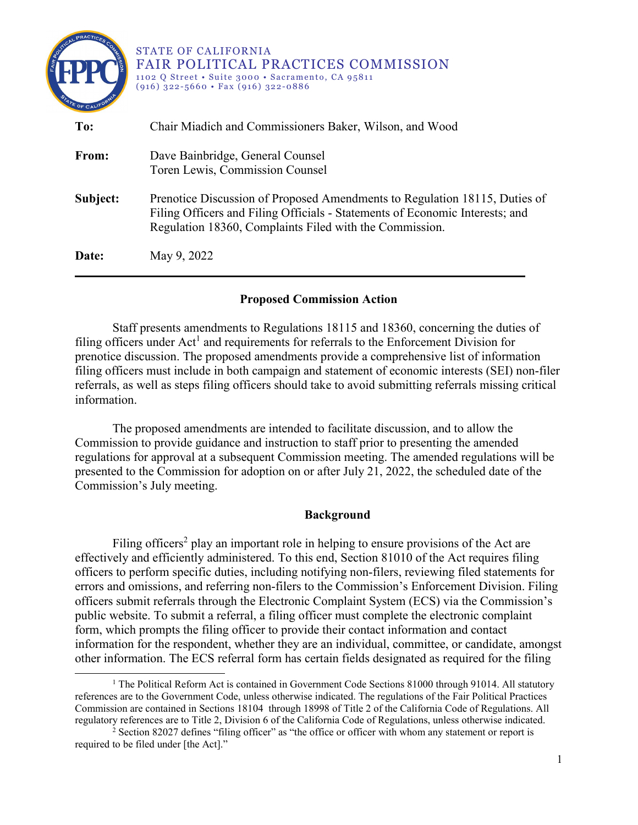

### **Proposed Commission Action**

Staff presents amendments to Regulations 18115 and 18360, concerning the duties of filing officers under  $Act<sup>1</sup>$  $Act<sup>1</sup>$  $Act<sup>1</sup>$  and requirements for referrals to the Enforcement Division for prenotice discussion. The proposed amendments provide a comprehensive list of information filing officers must include in both campaign and statement of economic interests (SEI) non-filer referrals, as well as steps filing officers should take to avoid submitting referrals missing critical information.

The proposed amendments are intended to facilitate discussion, and to allow the Commission to provide guidance and instruction to staff prior to presenting the amended regulations for approval at a subsequent Commission meeting. The amended regulations will be presented to the Commission for adoption on or after July 21, 2022, the scheduled date of the Commission's July meeting.

#### **Background**

Filing officers<sup>[2](#page-0-1)</sup> play an important role in helping to ensure provisions of the Act are effectively and efficiently administered. To this end, Section 81010 of the Act requires filing officers to perform specific duties, including notifying non-filers, reviewing filed statements for errors and omissions, and referring non-filers to the Commission's Enforcement Division. Filing officers submit referrals through the Electronic Complaint System (ECS) via the Commission's public website. To submit a referral, a filing officer must complete the electronic complaint form, which prompts the filing officer to provide their contact information and contact information for the respondent, whether they are an individual, committee, or candidate, amongst other information. The ECS referral form has certain fields designated as required for the filing

 $\overline{a}$ 

<span id="page-0-0"></span> $1$  The Political Reform Act is contained in Government Code Sections 81000 through 91014. All statutory references are to the Government Code, unless otherwise indicated. The regulations of the Fair Political Practices Commission are contained in Sections 18104 through 18998 of Title 2 of the California Code of Regulations. All regulatory references are to Title 2, Division 6 of the California Code of Regulations, unless otherwise indicated.

<span id="page-0-1"></span><sup>&</sup>lt;sup>2</sup> Section 82027 defines "filing officer" as "the office or officer with whom any statement or report is required to be filed under [the Act]."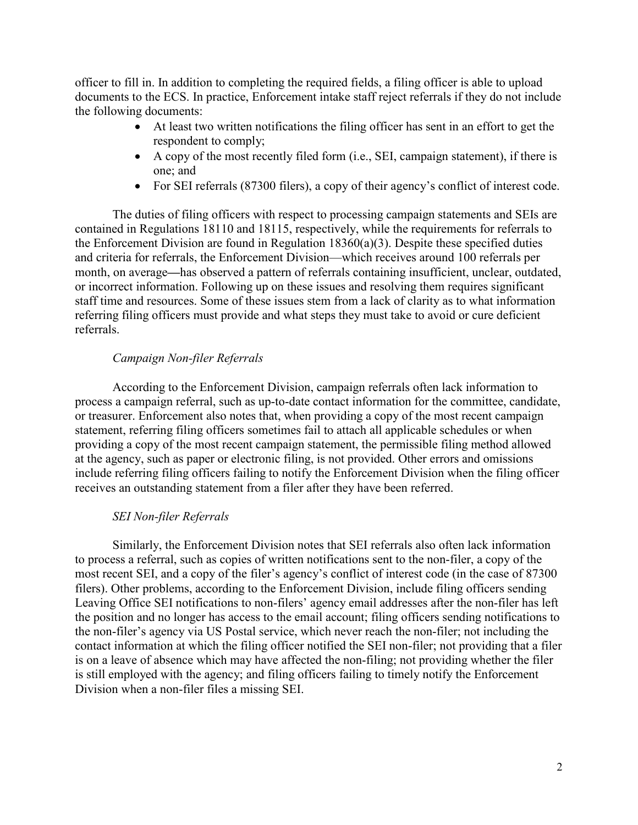officer to fill in. In addition to completing the required fields, a filing officer is able to upload documents to the ECS. In practice, Enforcement intake staff reject referrals if they do not include the following documents:

- · At least two written notifications the filing officer has sent in an effort to get the respondent to comply;
- · A copy of the most recently filed form (i.e., SEI, campaign statement), if there is one; and
- For SEI referrals (87300 filers), a copy of their agency's conflict of interest code.

The duties of filing officers with respect to processing campaign statements and SEIs are contained in Regulations 18110 and 18115, respectively, while the requirements for referrals to the Enforcement Division are found in Regulation 18360(a)(3). Despite these specified duties and criteria for referrals, the Enforcement Division—which receives around 100 referrals per month, on average**—**has observed a pattern of referrals containing insufficient, unclear, outdated, or incorrect information. Following up on these issues and resolving them requires significant staff time and resources. Some of these issues stem from a lack of clarity as to what information referring filing officers must provide and what steps they must take to avoid or cure deficient referrals.

## *Campaign Non-filer Referrals*

According to the Enforcement Division, campaign referrals often lack information to process a campaign referral, such as up-to-date contact information for the committee, candidate, or treasurer. Enforcement also notes that, when providing a copy of the most recent campaign statement, referring filing officers sometimes fail to attach all applicable schedules or when providing a copy of the most recent campaign statement, the permissible filing method allowed at the agency, such as paper or electronic filing, is not provided. Other errors and omissions include referring filing officers failing to notify the Enforcement Division when the filing officer receives an outstanding statement from a filer after they have been referred.

## *SEI Non-filer Referrals*

Similarly, the Enforcement Division notes that SEI referrals also often lack information to process a referral, such as copies of written notifications sent to the non-filer, a copy of the most recent SEI, and a copy of the filer's agency's conflict of interest code (in the case of 87300 filers). Other problems, according to the Enforcement Division, include filing officers sending Leaving Office SEI notifications to non-filers' agency email addresses after the non-filer has left the position and no longer has access to the email account; filing officers sending notifications to the non-filer's agency via US Postal service, which never reach the non-filer; not including the contact information at which the filing officer notified the SEI non-filer; not providing that a filer is on a leave of absence which may have affected the non-filing; not providing whether the filer is still employed with the agency; and filing officers failing to timely notify the Enforcement Division when a non-filer files a missing SEI.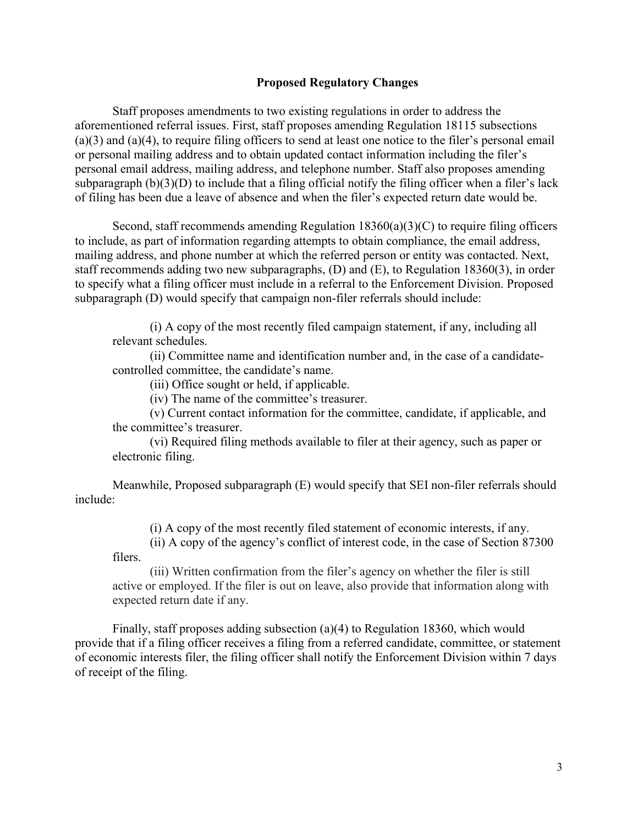#### **Proposed Regulatory Changes**

Staff proposes amendments to two existing regulations in order to address the aforementioned referral issues. First, staff proposes amending Regulation 18115 subsections (a)(3) and (a)(4), to require filing officers to send at least one notice to the filer's personal email or personal mailing address and to obtain updated contact information including the filer's personal email address, mailing address, and telephone number. Staff also proposes amending subparagraph (b)(3)(D) to include that a filing official notify the filing officer when a filer's lack of filing has been due a leave of absence and when the filer's expected return date would be.

Second, staff recommends amending Regulation  $18360(a)(3)(C)$  to require filing officers to include, as part of information regarding attempts to obtain compliance, the email address, mailing address, and phone number at which the referred person or entity was contacted. Next, staff recommends adding two new subparagraphs, (D) and (E), to Regulation 18360(3), in order to specify what a filing officer must include in a referral to the Enforcement Division. Proposed subparagraph (D) would specify that campaign non-filer referrals should include:

(i) A copy of the most recently filed campaign statement, if any, including all relevant schedules.

(ii) Committee name and identification number and, in the case of a candidatecontrolled committee, the candidate's name.

(iii) Office sought or held, if applicable.

(iv) The name of the committee's treasurer.

(v) Current contact information for the committee, candidate, if applicable, and the committee's treasurer.

(vi) Required filing methods available to filer at their agency, such as paper or electronic filing.

Meanwhile, Proposed subparagraph (E) would specify that SEI non-filer referrals should include:

(i) A copy of the most recently filed statement of economic interests, if any.

(ii) A copy of the agency's conflict of interest code, in the case of Section 87300 filers.

(iii) Written confirmation from the filer's agency on whether the filer is still active or employed. If the filer is out on leave, also provide that information along with expected return date if any.

Finally, staff proposes adding subsection (a)(4) to Regulation 18360, which would provide that if a filing officer receives a filing from a referred candidate, committee, or statement of economic interests filer, the filing officer shall notify the Enforcement Division within 7 days of receipt of the filing.